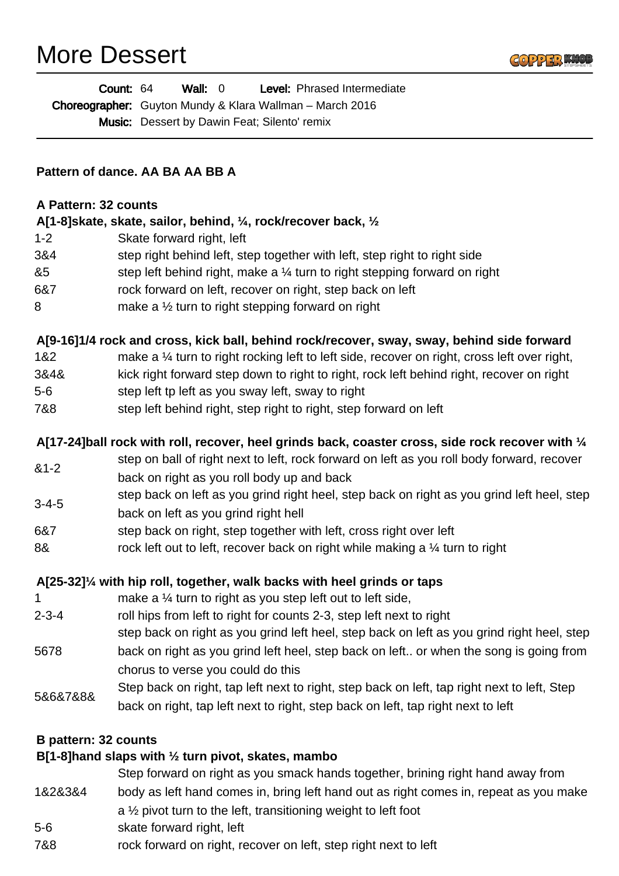# More Dessert



| <b>Count: 64</b> |                                                     | Wall: 0 |  | <b>Level:</b> Phrased Intermediate                              |
|------------------|-----------------------------------------------------|---------|--|-----------------------------------------------------------------|
|                  |                                                     |         |  | <b>Choreographer:</b> Guyton Mundy & Klara Wallman – March 2016 |
|                  | <b>Music:</b> Dessert by Dawin Feat; Silento' remix |         |  |                                                                 |

#### **Pattern of dance. AA BA AA BB A**

#### **A Pattern: 32 counts**

#### **A[1-8]skate, skate, sailor, behind, ¼, rock/recover back, ½**

- 1-2 Skate forward right, left
- 3&4 step right behind left, step together with left, step right to right side
- &5 step left behind right, make a ¼ turn to right stepping forward on right
- 6&7 rock forward on left, recover on right, step back on left
- 8 make a  $\frac{1}{2}$  turn to right stepping forward on right

#### **A[9-16]1/4 rock and cross, kick ball, behind rock/recover, sway, sway, behind side forward**

- 1&2 make a 1/4 turn to right rocking left to left side, recover on right, cross left over right,
- 3&4& kick right forward step down to right to right, rock left behind right, recover on right
- 5-6 step left tp left as you sway left, sway to right
- 7&8 step left behind right, step right to right, step forward on left

#### **A[17-24]ball rock with roll, recover, heel grinds back, coaster cross, side rock recover with ¼**

- &1-2 step on ball of right next to left, rock forward on left as you roll body forward, recover back on right as you roll body up and back
- 3-4-5 step back on left as you grind right heel, step back on right as you grind left heel, step back on left as you grind right hell
- 6&7 step back on right, step together with left, cross right over left
- 8& rock left out to left, recover back on right while making a 1/4 turn to right

#### **A[25-32]¼ with hip roll, together, walk backs with heel grinds or taps**

- 1 make a  $\frac{1}{4}$  turn to right as you step left out to left side,
- 2-3-4 roll hips from left to right for counts 2-3, step left next to right
- step back on right as you grind left heel, step back on left as you grind right heel, step
- 5678 back on right as you grind left heel, step back on left.. or when the song is going from chorus to verse you could do this
- 5&6&7&8& Step back on right, tap left next to right, step back on left, tap right next to left, Step back on right, tap left next to right, step back on left, tap right next to left

#### **B pattern: 32 counts**

#### **B[1-8]hand slaps with ½ turn pivot, skates, mambo**

- Step forward on right as you smack hands together, brining right hand away from
- 1&2&3&4 body as left hand comes in, bring left hand out as right comes in, repeat as you make a ½ pivot turn to the left, transitioning weight to left foot
- 5-6 skate forward right, left
- 7&8 rock forward on right, recover on left, step right next to left